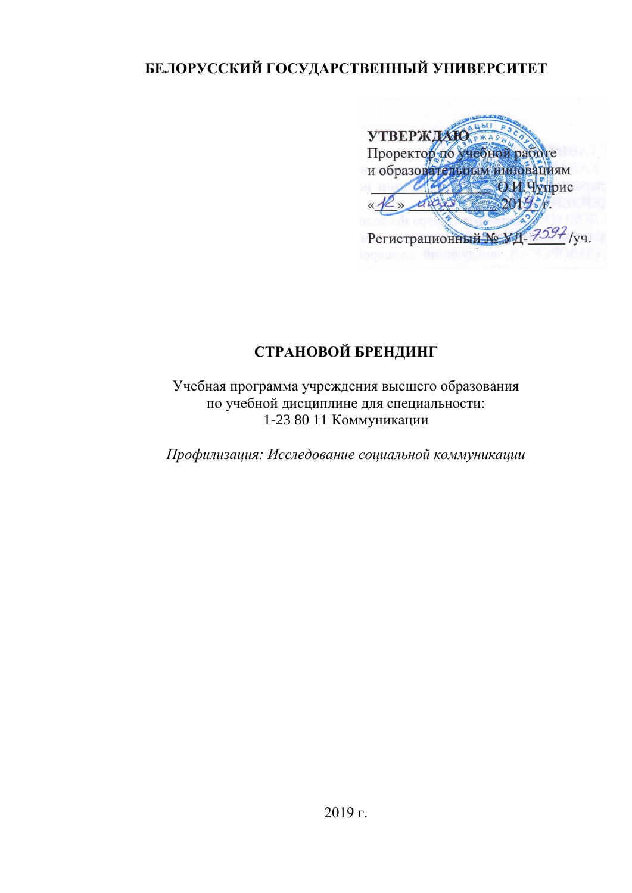# **БЕЛОРУССКИЙ ГОСУДАРСТВЕННЫЙ УНИВЕРСИТЕТ**

**УТВЕРЖДАЮ** Проректор по учебной работе и образовательным инновациям О.И.Чуприс  $201$  $\ll \sqrt{k}$ Регистрационный № 11-7597 / уч.

# **СТРАНОВОЙ БРЕНДИНГ**

Учебная программа учреждения высшего образования по учебной дисциплине для специальности: 1-23 80 11 Коммуникации

*Профилизация: Исследование социальной коммуникации*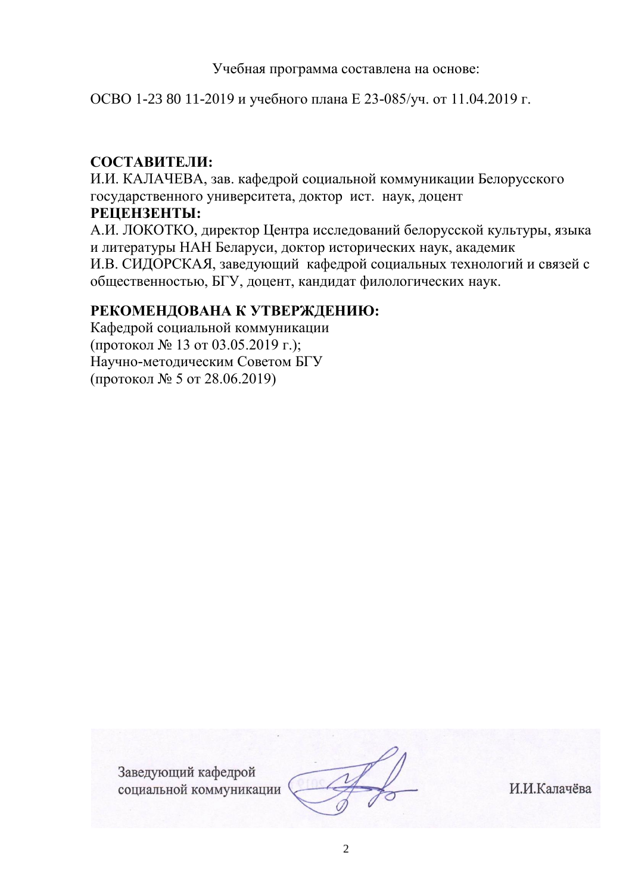Учебная программа составлена на основе:

ОСВО 1-23 80 11-2019 и учебного плана Е 23-085/уч. от 11.04.2019 г.

# **СОСТАВИТЕЛИ:**

И.И. КАЛАЧЕВА, зав. кафедрой социальной коммуникации Белорусского государственного университета, доктор ист. наук, доцент

#### **РЕЦЕНЗЕНТЫ:**

А.И. ЛОКОТКО, директор Центра исследований белорусской культуры, языка и литературы НАН Беларуси, доктор исторических наук, академик И.В. СИДОРСКАЯ, заведующий кафедрой социальных технологий и связей с общественностью, БГУ, доцент, кандидат филологических наук.

# **РЕКОМЕНДОВАНА К УТВЕРЖДЕНИЮ:**

Кафедрой социальной коммуникации (протокол № 13 от 03.05.2019 г.); Научно-методическим Советом БГУ (протокол № 5 от 28.06.2019)

> Заведующий кафедрой социальной коммуникации

И.И.Калачёва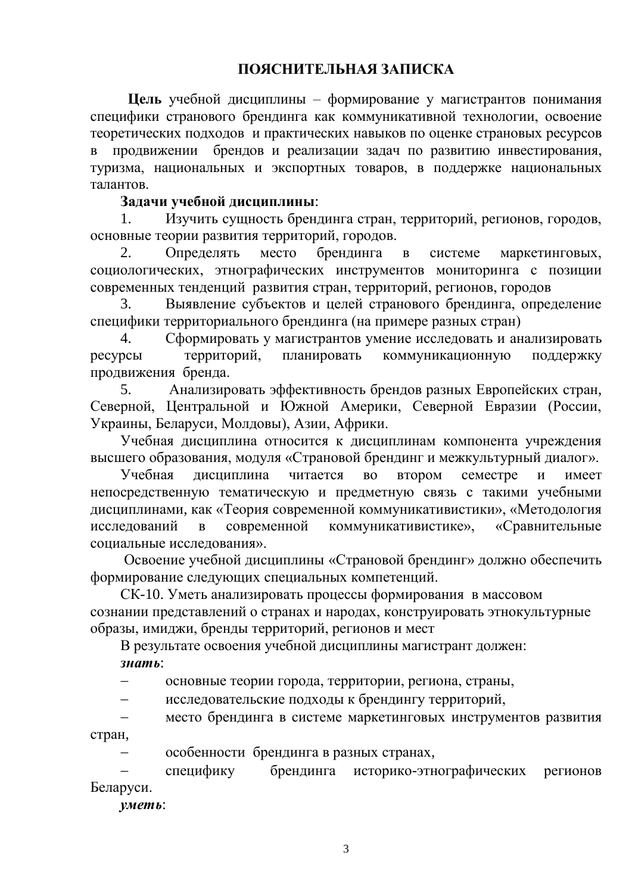**Цель** учебной дисциплины – формирование у магистрантов понимания специфики странового брендинга как коммуникативной технологии, освоение теоретических подходов и практических навыков по оценке страновых ресурсов в продвижении брендов и реализации задач по развитию инвестирования, туризма, национальных и экспортных товаров, в поддержке национальных талантов.

## **Задачи учебной дисциплины**:

1. Изучить сущность брендинга стран, территорий, регионов, городов, основные теории развития территорий, городов.

2. Определять место брендинга в системе маркетинговых, социологических, этнографических инструментов мониторинга с позиции современных тенденций развития стран, территорий, регионов, городов

3. Выявление субъектов и целей странового брендинга, определение специфики территориального брендинга (на примере разных стран)

4. Сформировать у магистрантов умение исследовать и анализировать ресурсы территорий, планировать коммуникационную поддержку продвижения бренда.

5. Анализировать эффективность брендов разных Европейских стран, Северной, Центральной и Южной Америки, Северной Евразии (России, Украины, Беларуси, Молдовы), Азии, Африки.

Учебная дисциплина относится к дисциплинам компонента учреждения высшего образования, модуля «Страновой брендинг и межкультурный диалог».

Учебная дисциплина читается во втором семестре и имеет непосредственную тематическую и предметную связь с такими учебными дисциплинами, как «Теория современной коммуникативистики», «Методология исследований в современной коммуникативистике», «Сравнительные социальные исследования».

Освоение учебной дисциплины «Страновой брендинг» должно обеспечить формирование следующих специальных компетенций.

СК-10. Уметь анализировать процессы формирования в массовом сознании представлений о странах и народах, конструировать этнокультурные образы, имиджи, бренды территорий, регионов и мест

В результате освоения учебной дисциплины магистрант должен: *знать*:

основные теории города, территории, региона, страны,

исследовательские подходы к брендингу территорий,

 место брендинга в системе маркетинговых инструментов развития стран,

особенности брендинга в разных странах,

 специфику брендинга историко-этнографических регионов Беларуси.

*уметь*: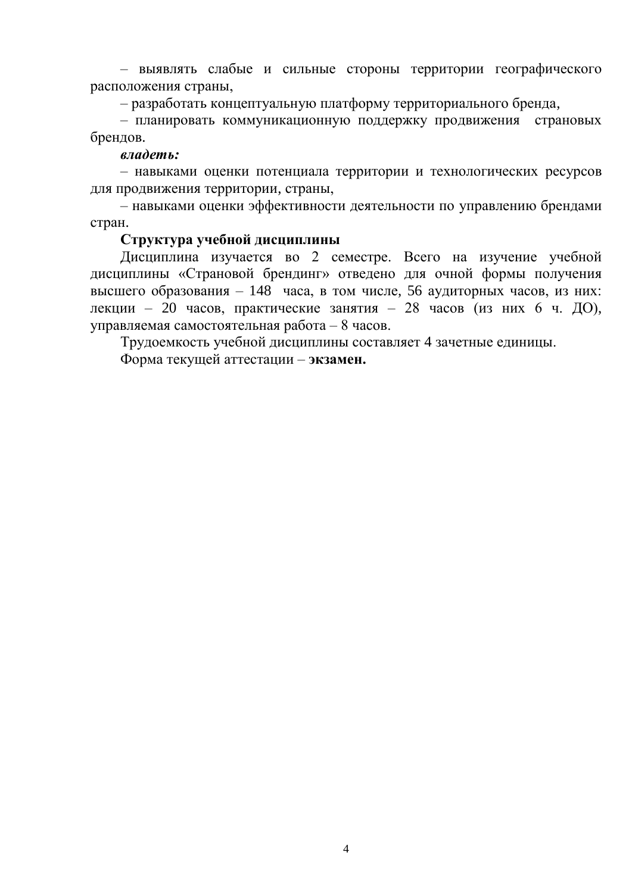– выявлять слабые и сильные стороны территории географического расположения страны,

– разработать концептуальную платформу территориального бренда,

– планировать коммуникационную поддержку продвижения страновых брендов.

#### *владеть:*

– навыками оценки потенциала территории и технологических ресурсов для продвижения территории, страны,

– навыками оценки эффективности деятельности по управлению брендами стран.

#### **Структура учебной дисциплины**

Дисциплина изучается во 2 семестре. Всего на изучение учебной дисциплины «Страновой брендинг» отведено для очной формы получения высшего образования – 148 часа, в том числе, 56 аудиторных часов, из них: лекции – 20 часов, практические занятия – 28 часов (из них 6 ч. ДО), управляемая самостоятельная работа – 8 часов.

Трудоемкость учебной дисциплины составляет 4 зачетные единицы. Форма текущей аттестации – **экзамен.**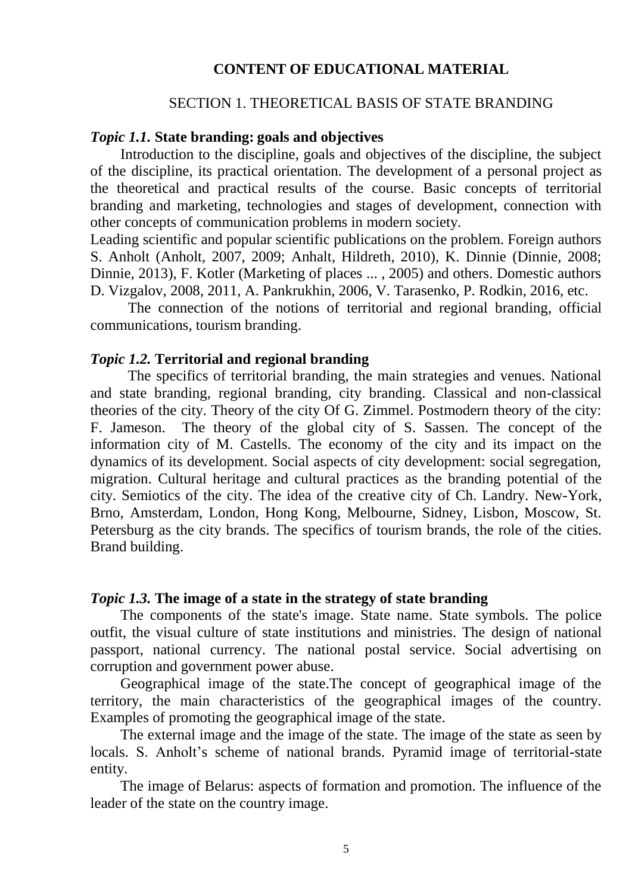#### **CONTENT OF EDUCATIONAL MATERIAL**

#### SECTION 1. THEORETICAL BASIS OF STATE BRANDING

#### *Topic 1.1.* **State branding: goals and objectives**

Introduction to the discipline, goals and objectives of the discipline, the subject of the discipline, its practical orientation. The development of a personal project as the theoretical and practical results of the course. Basic concepts of territorial branding and marketing, technologies and stages of development, connection with other concepts of communication problems in modern society.

Leading scientific and popular scientific publications on the problem. Foreign authors S. Anholt (Anholt, 2007, 2009; Anhalt, Hildreth, 2010), K. Dinnie (Dinnie, 2008; Dinnie, 2013), F. Kotler (Marketing of places ... , 2005) and others. Domestic authors D. Vizgalov, 2008, 2011, A. Pankrukhin, 2006, V. Tarasenko, P. Rodkin, 2016, etc.

The connection of the notions of territorial and regional branding, official communications, tourism branding.

#### *Topic 1.2.* **Territorial and regional branding**

The specifics of territorial branding, the main strategies and venues. National and state branding, regional branding, city branding. Classical and non-classical theories of the city. Theory of the city Of G. Zimmel. Postmodern theory of the city: F. Jameson. The theory of the global city of S. Sassen. The concept of the information city of M. Castells. The economy of the city and its impact on the dynamics of its development. Social aspects of city development: social segregation, migration. Cultural heritage and cultural practices as the branding potential of the city. Semiotics of the city. The idea of the creative city of Ch. Landry. New-York, Brno, Amsterdam, London, Hong Kong, Melbourne, Sidney, Lisbon, Moscow, St. Petersburg as the city brands. The specifics of tourism brands, the role of the cities. Brand building.

#### *Topic 1.3.* **The image of a state in the strategy of state branding**

The components of the state's image. State name. State symbols. The police outfit, the visual culture of state institutions and ministries. The design of national passport, national currency. The national postal service. Social advertising on corruption and government power abuse.

Geographical image of the state.The concept of geographical image of the territory, the main characteristics of the geographical images of the country. Examples of promoting the geographical image of the state.

The external image and the image of the state. The image of the state as seen by locals. S. Anholt's scheme of national brands. Pyramid image of territorial-state entity.

The image of Belarus: aspects of formation and promotion. The influence of the leader of the state on the country image.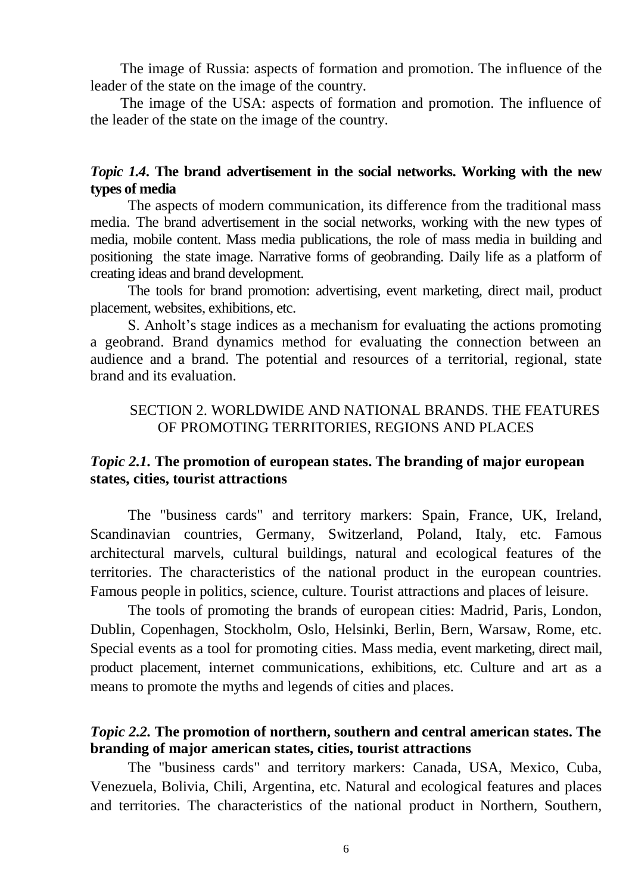The image of Russia: aspects of formation and promotion. The influence of the leader of the state on the image of the country.

The image of the USA: aspects of formation and promotion. The influence of the leader of the state on the image of the country.

## *Topic 1.4***. The brand advertisement in the social networks. Working with the new types of media**

The aspects of modern communication, its difference from the traditional mass media. The brand advertisement in the social networks, working with the new types of media, mobile content. Mass media publications, the role of mass media in building and positioning the state image. Narrative forms of geobranding. Daily life as a platform of creating ideas and brand development.

The tools for brand promotion: advertising, event marketing, direct mail, product placement, websites, exhibitions, etc.

S. Anholt's stage indices as a mechanism for evaluating the actions promoting a geobrand. Brand dynamics method for evaluating the connection between an audience and a brand. The potential and resources of a territorial, regional, state brand and its evaluation.

## SECTION 2. WORLDWIDE AND NATIONAL BRANDS. THE FEATURES OF PROMOTING TERRITORIES, REGIONS AND PLACES

### *Topic 2.1.* **The promotion of european states. The branding of major european states, cities, tourist attractions**

The "business cards" and territory markers: Spain, France, UK, Ireland, Scandinavian countries, Germany, Switzerland, Poland, Italy, etc. Famous architectural marvels, cultural buildings, natural and ecological features of the territories. The characteristics of the national product in the european countries. Famous people in politics, science, culture. Tourist attractions and places of leisure.

The tools of promoting the brands of european cities: Madrid, Paris, London, Dublin, Copenhagen, Stockholm, Oslo, Helsinki, Berlin, Bern, Warsaw, Rome, etc. Special events as a tool for promoting cities. Mass media, event marketing, direct mail, product placement, internet communications, exhibitions, etc. Culture and art as a means to promote the myths and legends of cities and places.

## *Topic 2.2.* **The promotion of northern, southern and central american states. The branding of major american states, cities, tourist attractions**

The "business cards" and territory markers: Canada, USA, Mexico, Cuba, Venezuela, Bolivia, Chili, Argentina, etc. Natural and ecological features and places and territories. The characteristics of the national product in Northern, Southern,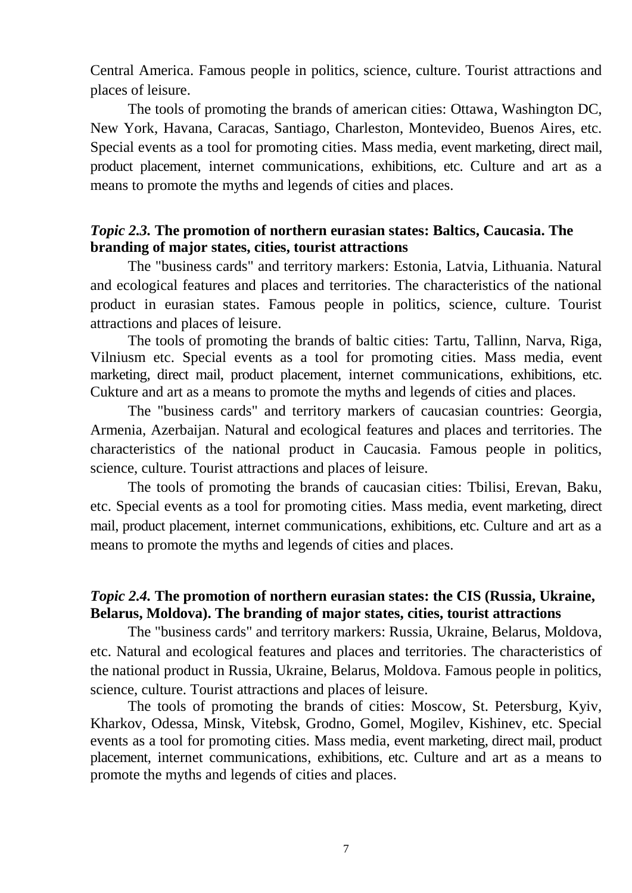Central America. Famous people in politics, science, culture. Tourist attractions and places of leisure.

The tools of promoting the brands of american cities: Ottawa, Washington DC, New York, Havana, Caracas, Santiago, Charleston, Montevideo, Buenos Aires, etc. Special events as a tool for promoting cities. Mass media, event marketing, direct mail, product placement, internet communications, exhibitions, etc. Culture and art as a means to promote the myths and legends of cities and places.

## *Topic 2.3.* **The promotion of northern eurasian states: Baltics, Caucasia. The branding of major states, cities, tourist attractions**

The "business cards" and territory markers: Estonia, Latvia, Lithuania. Natural and ecological features and places and territories. The characteristics of the national product in eurasian states. Famous people in politics, science, culture. Tourist attractions and places of leisure.

The tools of promoting the brands of baltic cities: Tartu, Tallinn, Narva, Riga, Vilniusm etc. Special events as a tool for promoting cities. Mass media, event marketing, direct mail, product placement, internet communications, exhibitions, etc. Cukture and art as a means to promote the myths and legends of cities and places.

The "business cards" and territory markers of caucasian countries: Georgia, Armenia, Azerbaijan. Natural and ecological features and places and territories. The characteristics of the national product in Caucasia. Famous people in politics, science, culture. Tourist attractions and places of leisure.

The tools of promoting the brands of caucasian cities: Tbilisi, Erevan, Baku, etc. Special events as a tool for promoting cities. Mass media, event marketing, direct mail, product placement, internet communications, exhibitions, etc. Culture and art as a means to promote the myths and legends of cities and places.

## *Topic 2.4.* **The promotion of northern eurasian states: the CIS (Russia, Ukraine, Belarus, Moldova). The branding of major states, cities, tourist attractions**

The "business cards" and territory markers: Russia, Ukraine, Belarus, Moldova, etc. Natural and ecological features and places and territories. The characteristics of the national product in Russia, Ukraine, Belarus, Moldova. Famous people in politics, science, culture. Tourist attractions and places of leisure.

The tools of promoting the brands of cities: Moscow, St. Petersburg, Kyiv, Kharkov, Odessa, Minsk, Vitebsk, Grodno, Gomel, Mogilev, Kishinev, etc. Special events as a tool for promoting cities. Mass media, event marketing, direct mail, product placement, internet communications, exhibitions, etc. Culture and art as a means to promote the myths and legends of cities and places.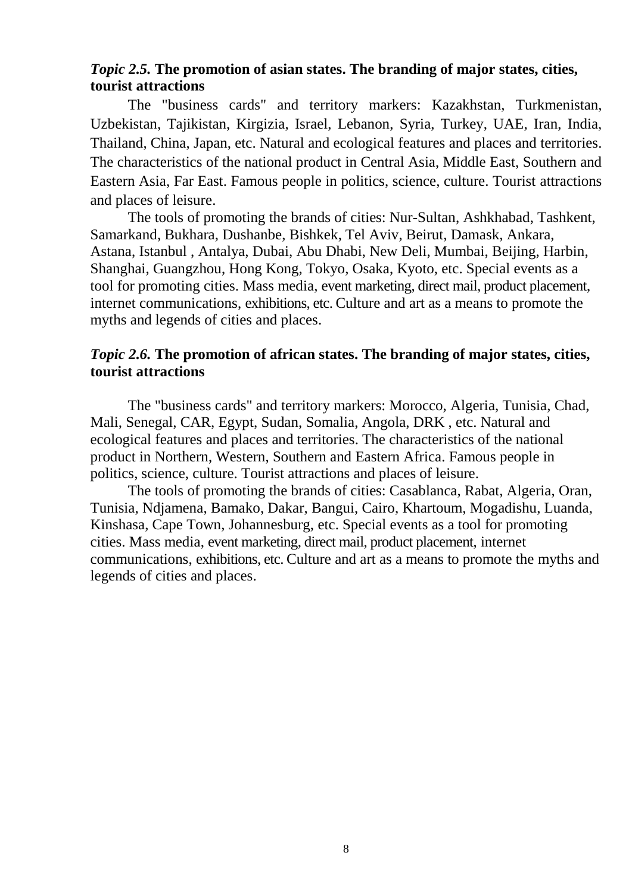## *Topic 2.5.* **The promotion of asian states. The branding of major states, cities, tourist attractions**

The "business cards" and territory markers: Kazakhstan, Turkmenistan, Uzbekistan, Tajikistan, Kirgizia, Israel, Lebanon, Syria, Turkey, UAE, Iran, India, Thailand, China, Japan, etc. Natural and ecological features and places and territories. The characteristics of the national product in Central Asia, Middle East, Southern and Eastern Asia, Far East. Famous people in politics, science, culture. Tourist attractions and places of leisure.

The tools of promoting the brands of cities: Nur-Sultan, Ashkhabad, Tashkent, Samarkand, Bukhara, Dushanbe, Bishkek, Tel Aviv, Beirut, Damask, Ankara, Astana, Istanbul , Antalya, Dubai, Abu Dhabi, New Deli, Mumbai, Beijing, Harbin, Shanghai, Guangzhou, Hong Kong, Tokyo, Osaka, Kyoto, etc. Special events as a tool for promoting cities. Mass media, event marketing, direct mail, product placement, internet communications, exhibitions, etc. Culture and art as a means to promote the myths and legends of cities and places.

## *Topic 2.6.* **The promotion of african states. The branding of major states, cities, tourist attractions**

The "business cards" and territory markers: Morocco, Algeria, Tunisia, Chad, Mali, Senegal, CAR, Egypt, Sudan, Somalia, Angola, DRK , etc. Natural and ecological features and places and territories. The characteristics of the national product in Northern, Western, Southern and Eastern Africa. Famous people in politics, science, culture. Tourist attractions and places of leisure.

The tools of promoting the brands of cities: Casablanca, Rabat, Algeria, Oran, Tunisia, Ndjamena, Bamako, Dakar, Bangui, Cairo, Khartoum, Mogadishu, Luanda, Kinshasa, Cape Town, Johannesburg, etc. Special events as a tool for promoting cities. Mass media, event marketing, direct mail, product placement, internet communications, exhibitions, etc. Culture and art as a means to promote the myths and legends of cities and places.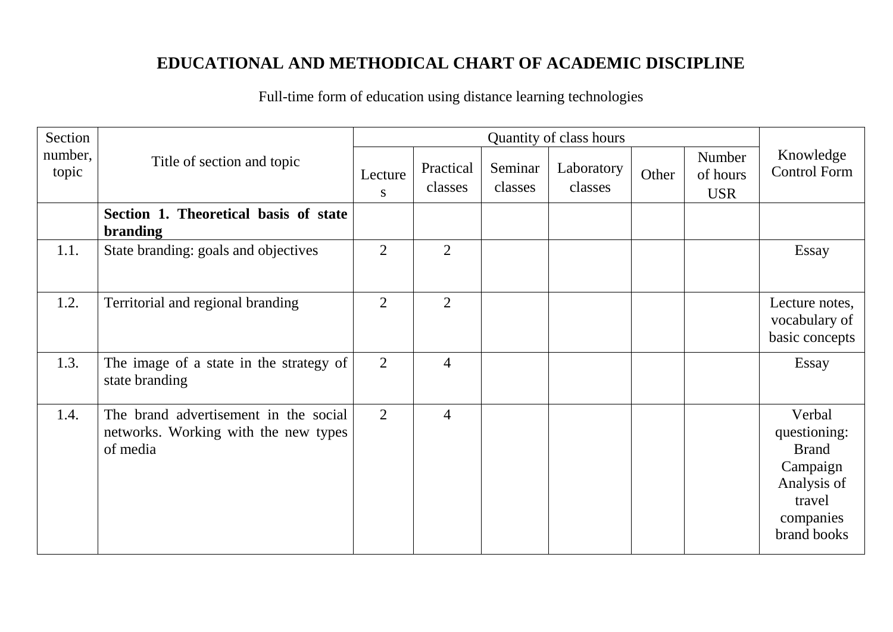# **EDUCATIONAL AND METHODICAL CHART OF ACADEMIC DISCIPLINE**

Full-time form of education using distance learning technologies

| Section          | Quantity of class hours                                                                   |                |                      |                    |                       |       |                                  |                                                                                                         |
|------------------|-------------------------------------------------------------------------------------------|----------------|----------------------|--------------------|-----------------------|-------|----------------------------------|---------------------------------------------------------------------------------------------------------|
| number,<br>topic | Title of section and topic                                                                | Lecture<br>S.  | Practical<br>classes | Seminar<br>classes | Laboratory<br>classes | Other | Number<br>of hours<br><b>USR</b> | Knowledge<br><b>Control Form</b>                                                                        |
|                  | Section 1. Theoretical basis of state<br>branding                                         |                |                      |                    |                       |       |                                  |                                                                                                         |
| 1.1.             | State branding: goals and objectives                                                      | $\overline{2}$ | $\overline{2}$       |                    |                       |       |                                  | Essay                                                                                                   |
| 1.2.             | Territorial and regional branding                                                         | $\overline{2}$ | $\overline{2}$       |                    |                       |       |                                  | Lecture notes,<br>vocabulary of<br>basic concepts                                                       |
| 1.3.             | The image of a state in the strategy of<br>state branding                                 | $\overline{2}$ | $\overline{4}$       |                    |                       |       |                                  | Essay                                                                                                   |
| 1.4.             | The brand advertisement in the social<br>networks. Working with the new types<br>of media | $\overline{2}$ | $\overline{4}$       |                    |                       |       |                                  | Verbal<br>questioning:<br><b>Brand</b><br>Campaign<br>Analysis of<br>travel<br>companies<br>brand books |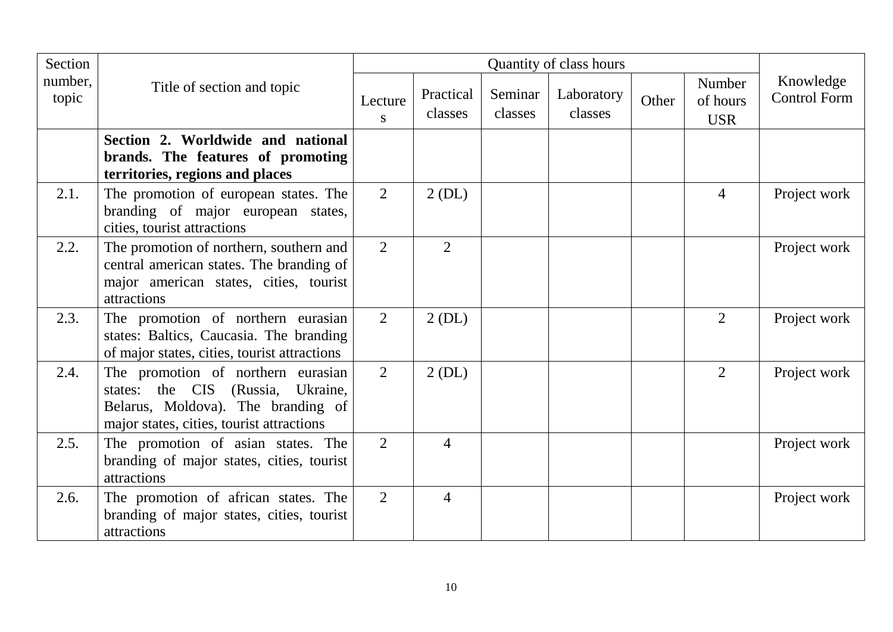| Section          |                                                                                                                                                            | Quantity of class hours |                      |                    |                       |       |                                  |                                  |
|------------------|------------------------------------------------------------------------------------------------------------------------------------------------------------|-------------------------|----------------------|--------------------|-----------------------|-------|----------------------------------|----------------------------------|
| number,<br>topic | Title of section and topic                                                                                                                                 | Lecture<br>S            | Practical<br>classes | Seminar<br>classes | Laboratory<br>classes | Other | Number<br>of hours<br><b>USR</b> | Knowledge<br><b>Control Form</b> |
|                  | Section 2. Worldwide and national<br>brands. The features of promoting<br>territories, regions and places                                                  |                         |                      |                    |                       |       |                                  |                                  |
| 2.1.             | The promotion of european states. The<br>branding of major european states,<br>cities, tourist attractions                                                 | $\overline{2}$          | $2$ (DL)             |                    |                       |       | $\overline{4}$                   | Project work                     |
| 2.2.             | The promotion of northern, southern and<br>central american states. The branding of<br>major american states, cities, tourist<br>attractions               | $\overline{2}$          | 2                    |                    |                       |       |                                  | Project work                     |
| 2.3.             | The promotion of northern eurasian<br>states: Baltics, Caucasia. The branding<br>of major states, cities, tourist attractions                              | $\overline{2}$          | 2(DL)                |                    |                       |       | 2                                | Project work                     |
| 2.4.             | The promotion of northern eurasian<br>states: the CIS (Russia, Ukraine,<br>Belarus, Moldova). The branding of<br>major states, cities, tourist attractions | $\overline{2}$          | 2(DL)                |                    |                       |       | $\overline{2}$                   | Project work                     |
| 2.5.             | The promotion of asian states. The<br>branding of major states, cities, tourist<br>attractions                                                             | $\overline{2}$          | $\overline{4}$       |                    |                       |       |                                  | Project work                     |
| 2.6.             | The promotion of african states. The<br>branding of major states, cities, tourist<br>attractions                                                           | $\overline{2}$          | $\overline{4}$       |                    |                       |       |                                  | Project work                     |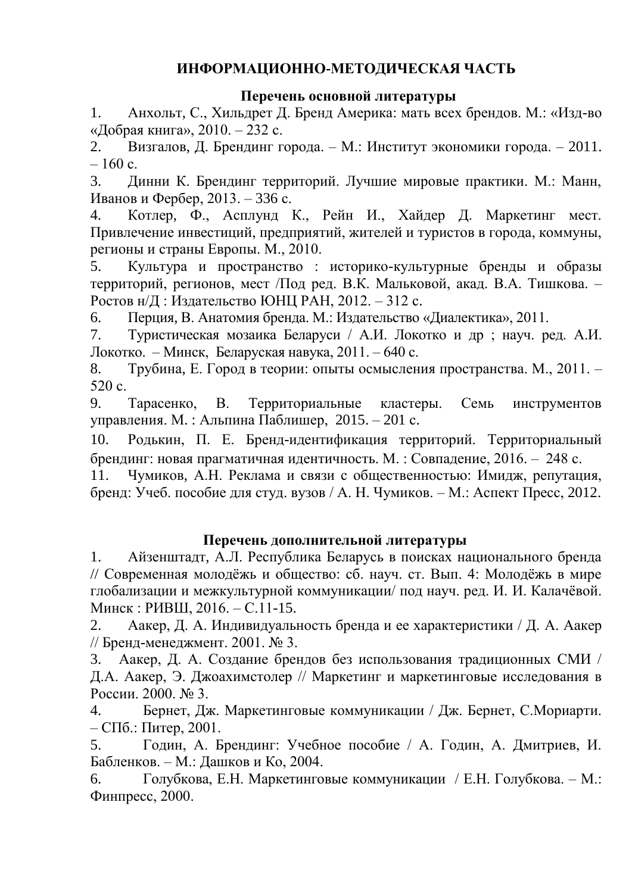# **ИНФОРМАЦИОННО-МЕТОДИЧЕСКАЯ ЧАСТЬ**

## **Перечень основной литературы**

1. Анхольт, С., Хильдрет Д. Бренд Америка: мать всех брендов. М.: «Изд-во «Добрая книга», 2010. – 232 с.

2. Визгалов, Д. Брендинг города. – М.: Институт экономики города. – 2011.  $-160$  c.

3. Динни К. Брендинг территорий. Лучшие мировые практики. М.: Манн, Иванов и Фербер, 2013. – 336 с.

4. Котлер, Ф., Асплунд К., Рейн И., Хайдер Д. Маркетинг мест. Привлечение инвестиций, предприятий, жителей и туристов в города, коммуны, регионы и страны Европы. М., 2010.

5. Культура и пространство : историко-культурные бренды и образы территорий, регионов, мест /Под ред. В.К. Мальковой, акад. В.А. Тишкова. – Ростов н/Д : Издательство ЮНЦ РАН, 2012. – 312 с.

6. Перция, В. Анатомия бренда. М.: Издательство «Диалектика», 2011.

7. Туристическая мозаика Беларуси / А.И. Локотко и др ; науч. ред. А.И. Локотко. – Минск, Беларуская навука, 2011. – 640 с.

8. Трубина, Е. Город в теории: опыты осмысления пространства. М., 2011. – 520 с.

9. Тарасенко, В. Территориальные кластеры. Семь инструментов управления. М. : Альпина Паблишер, 2015. – 201 с.

10. Родькин, П. Е. Бренд-идентификация территорий. Территориальный брендинг: новая прагматичная идентичность. М. : Совпадение, 2016. – 248 с.

11. Чумиков, А.Н. Реклама и связи с общественностью: Имидж, репутация, бренд: Учеб. пособие для студ. вузов / А. Н. Чумиков. – М.: Аспект Пресс, 2012.

# **Перечень дополнительной литературы**

1. Айзенштадт, А.Л. Республика Беларусь в поисках национального бренда // Современная молодёжь и общество: сб. науч. ст. Вып. 4: Молодёжь в мире глобализации и межкультурной коммуникации/ под науч. ред. И. И. Калачёвой. Минск : РИВШ, 2016. – С.11-15.

2. Аакер, Д. А. Индивидуальность бренда и ее характеристики / Д. А. Аакер // Бренд-менеджмент. 2001. № 3.

3. Аакер, Д. А. Создание брендов без использования традиционных СМИ / Д.А. Аакер, Э. Джоахимстолер // Маркетинг и маркетинговые исследования в России. 2000. № 3.

4. Бернет, Дж. Маркетинговые коммуникации / Дж. Бернет, С.Мориарти. – СПб.: Питер, 2001.

5. Годин, А. Брендинг: Учебное пособие / А. Годин, А. Дмитриев, И. Бабленков. – М.: Дашков и Ко, 2004.

6. Голубкова, Е.Н. Маркетинговые коммуникации / Е.Н. Голубкова. – М.: Финпресс, 2000.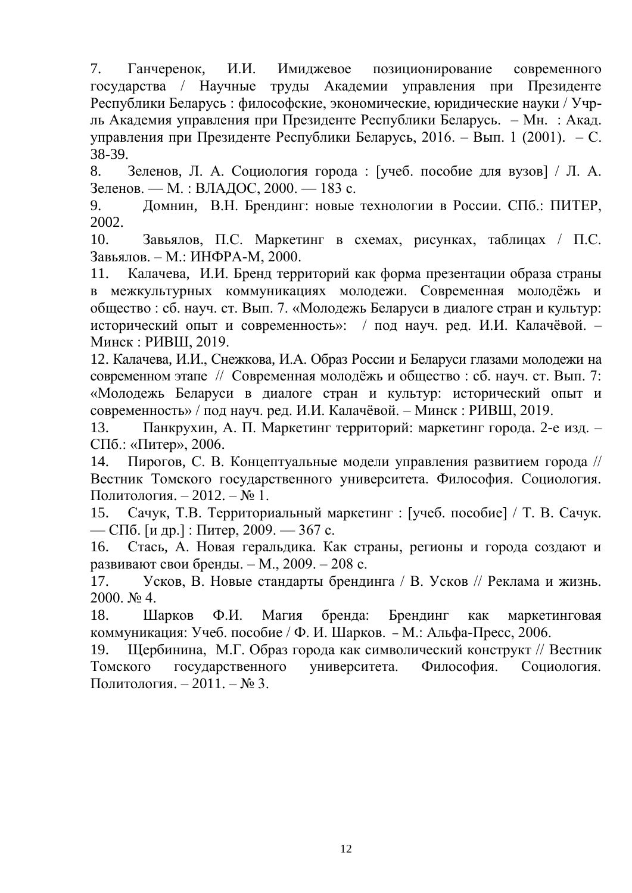7. Ганчеренок, И.И. Имиджевое позиционирование современного государства / Научные труды Академии управления при Президенте Республики Беларусь : философские, экономические, юридические науки / Учрль Академия управления при Президенте Республики Беларусь. – Мн. : Акад. управления при Президенте Республики Беларусь, 2016. – Вып. 1 (2001). – С. 38-39.

8. Зеленов, Л. А. Социология города : [учеб. пособие для вузов] / Л. А. Зеленов. — М. : ВЛАДОС, 2000. — 183 с.

9. Домнин, В.Н. Брендинг: новые технологии в России. СПб.: ПИТЕР, 2002.

10. Завьялов, П.С. Маркетинг в схемах, рисунках, таблицах / П.С. Завьялов. – М.: ИНФРА-М, 2000.

11. Калачева, И.И. Бренд территорий как форма презентации образа страны в межкультурных коммуникациях молодежи. Современная молодёжь и общество : сб. науч. ст. Вып. 7. «Молодежь Беларуси в диалоге стран и культур: исторический опыт и современность»: / под науч. ред. И.И. Калачёвой. – Минск : РИВШ, 2019.

12. Калачева, И.И., Снежкова, И.А. Образ России и Беларуси глазами молодежи на современном этапе // Современная молодёжь и общество : сб. науч. ст. Вып. 7: «Молодежь Беларуси в диалоге стран и культур: исторический опыт и современность» / под науч. ред. И.И. Калачёвой. – Минск : РИВШ, 2019.

13. Панкрухин, А. П. Маркетинг территорий: маркетинг города. 2-е изд. – СПб.: «Питер», 2006.

14. Пирогов, С. В. Концептуальные модели управления развитием города // [Вестник Томского государственного университета. Философия. Социология.](http://cyberleninka.ru/journal/n/vestnik-tomskogo-gosudarstvennogo-universiteta-filosofiya-sotsiologiya-politologiya)  [Политология.](http://cyberleninka.ru/journal/n/vestnik-tomskogo-gosudarstvennogo-universiteta-filosofiya-sotsiologiya-politologiya) – 2012. – № 1.

15. Сачук, Т.В. Территориальный маркетинг : [учеб. пособие] / Т. В. Сачук. — СПб. [и др.] : Питер, 2009. — 367 с.

16. Стась, А. Новая геральдика. Как страны, регионы и города создают и развивают свои бренды. – М., 2009. – 208 с.

17. Усков, В. Новые стандарты брендинга / В. Усков // Реклама и жизнь. 2000. № 4.

18. Шарков Ф.И. Магия бренда: Брендинг как маркетинговая коммуникация: Учеб. пособие / Ф. И. Шарков. – М.: Альфа-Пресс, 2006.

19. Щербинина, М.Г. Образ города как символический конструкт // [Вестник](http://cyberleninka.ru/journal/n/vestnik-tomskogo-gosudarstvennogo-universiteta-filosofiya-sotsiologiya-politologiya)  [Томского государственного университета. Философия. Социология.](http://cyberleninka.ru/journal/n/vestnik-tomskogo-gosudarstvennogo-universiteta-filosofiya-sotsiologiya-politologiya)  [Политология.](http://cyberleninka.ru/journal/n/vestnik-tomskogo-gosudarstvennogo-universiteta-filosofiya-sotsiologiya-politologiya) – 2011. – № 3.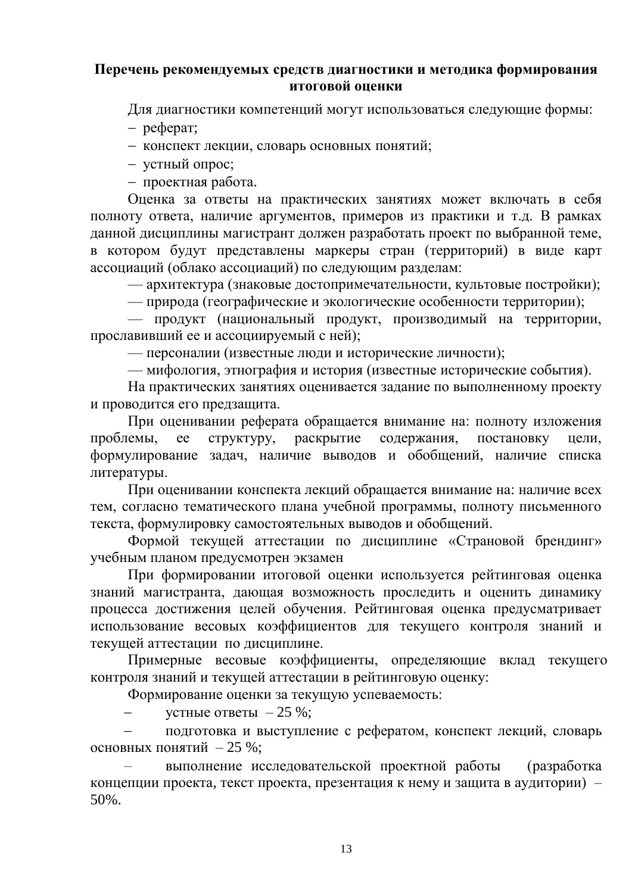#### **Перечень рекомендуемых средств диагностики и методика формирования итоговой оценки**

Для диагностики компетенций могут использоваться следующие формы:

– реферат;

конспект лекции, словарь основных понятий;

устный опрос;

проектная работа.

Оценка за ответы на практических занятиях может включать в себя полноту ответа, наличие аргументов, примеров из практики и т.д. В рамках данной дисциплины магистрант должен разработать проект по выбранной теме, в котором будут представлены маркеры стран (территорий) в виде карт ассоциаций (облако ассоциаций) по следующим разделам:

— архитектура (знаковые достопримечательности, культовые постройки);

— природа (географические и экологические особенности территории);

— продукт (национальный продукт, производимый на территории, прославивший ее и ассоциируемый с ней);

— персоналии (известные люди и исторические личности);

— мифология, этнография и история (известные исторические события).

На практических занятиях оценивается задание по выполненному проекту и проводится его предзащита.

При оценивании реферата обращается внимание на: полноту изложения проблемы, ее структуру, раскрытие содержания, постановку цели, формулирование задач, наличие выводов и обобщений, наличие списка литературы.

При оценивании конспекта лекций обращается внимание на: наличие всех тем, согласно тематического плана учебной программы, полноту письменного текста, формулировку самостоятельных выводов и обобщений.

Формой текущей аттестации по дисциплине «Страновой брендинг» учебным планом предусмотрен экзамен

При формировании итоговой оценки используется рейтинговая оценка знаний магистранта, дающая возможность проследить и оценить динамику процесса достижения целей обучения. Рейтинговая оценка предусматривает использование весовых коэффициентов для текущего контроля знаний и текущей аттестации по дисциплине.

Примерные весовые коэффициенты, определяющие вклад текущего контроля знаний и текущей аттестации в рейтинговую оценку:

Формирование оценки за текущую успеваемость:

устные ответы  $-25\%$ ;

 подготовка и выступление с рефератом, конспект лекций, словарь основных понятий – 25 %;

 выполнение исследовательской проектной работы (разработка концепции проекта, текст проекта, презентация к нему и защита в аудитории) – 50%.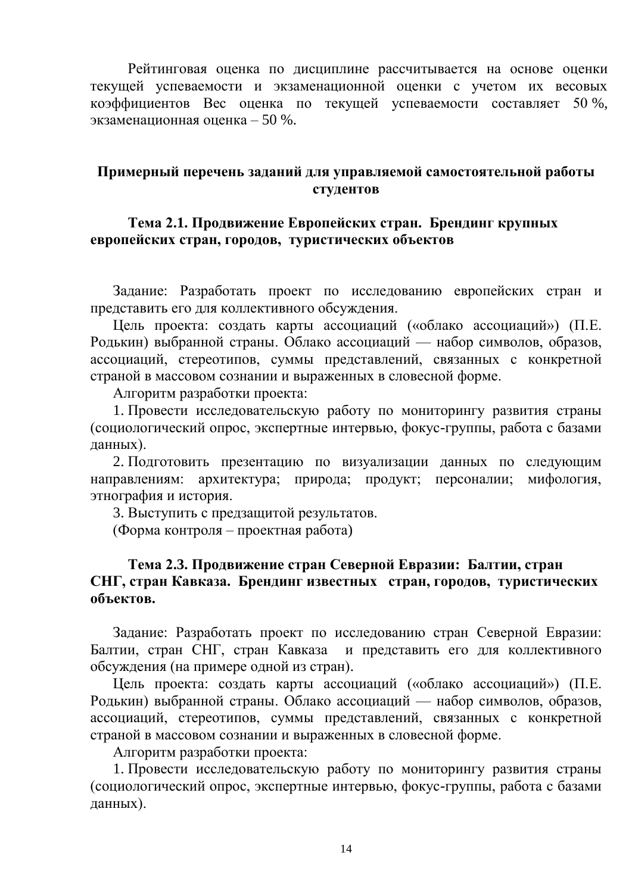Рейтинговая оценка по дисциплине рассчитывается на основе оценки текущей успеваемости и экзаменационной оценки с учетом их весовых коэффициентов Вес оценка по текущей успеваемости составляет 50 %, экзаменационная оценка – 50 %.

#### **Примерный перечень заданий для управляемой самостоятельной работы студентов**

#### **Тема 2.1. Продвижение Европейских стран. Брендинг крупных европейских стран, городов, туристических объектов**

Задание: Разработать проект по исследованию европейских стран и представить его для коллективного обсуждения.

Цель проекта: создать карты ассоциаций («облако ассоциаций») (П.Е. Родькин) выбранной страны. Облако ассоциаций — набор символов, образов, ассоциаций, стереотипов, суммы представлений, связанных с конкретной страной в массовом сознании и выраженных в словесной форме.

Алгоритм разработки проекта:

1. Провести исследовательскую работу по мониторингу развития страны (социологический опрос, экспертные интервью, фокус-группы, работа с базами данных).

2. Подготовить презентацию по визуализации данных по следующим направлениям: архитектура; природа; продукт; персоналии; мифология, этнография и история.

3. Выступить с предзащитой результатов.

(Форма контроля – проектная работа)

#### **Тема 2.3. Продвижение стран Северной Евразии: Балтии, стран СНГ, стран Кавказа. Брендинг известных стран, городов, туристических объектов.**

Задание: Разработать проект по исследованию стран Северной Евразии: Балтии, стран СНГ, стран Кавказа и представить его для коллективного обсуждения (на примере одной из стран).

Цель проекта: создать карты ассоциаций («облако ассоциаций») (П.Е. Родькин) выбранной страны. Облако ассоциаций — набор символов, образов, ассоциаций, стереотипов, суммы представлений, связанных с конкретной страной в массовом сознании и выраженных в словесной форме.

Алгоритм разработки проекта:

1. Провести исследовательскую работу по мониторингу развития страны (социологический опрос, экспертные интервью, фокус-группы, работа с базами данных).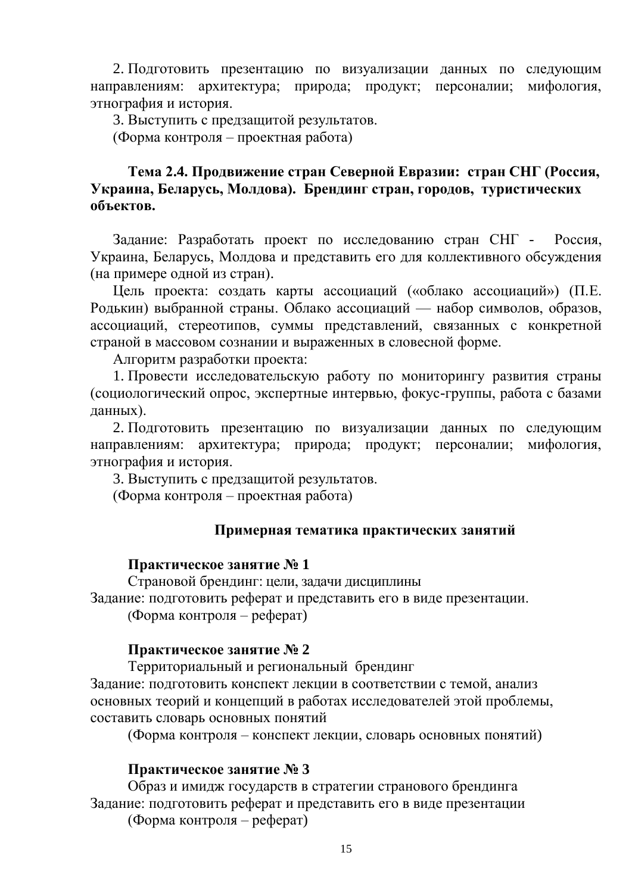2. Подготовить презентацию по визуализации данных по следующим направлениям: архитектура; природа; продукт; персоналии; мифология, этнография и история.

3. Выступить с предзащитой результатов.

(Форма контроля – проектная работа)

## **Тема 2.4. Продвижение стран Северной Евразии: стран СНГ (Россия, Украина, Беларусь, Молдова). Брендинг стран, городов, туристических объектов.**

Задание: Разработать проект по исследованию стран СНГ - Россия, Украина, Беларусь, Молдова и представить его для коллективного обсуждения (на примере одной из стран).

Цель проекта: создать карты ассоциаций («облако ассоциаций») (П.Е. Родькин) выбранной страны. Облако ассоциаций — набор символов, образов, ассоциаций, стереотипов, суммы представлений, связанных с конкретной страной в массовом сознании и выраженных в словесной форме.

Алгоритм разработки проекта:

1. Провести исследовательскую работу по мониторингу развития страны (социологический опрос, экспертные интервью, фокус-группы, работа с базами данных).

2. Подготовить презентацию по визуализации данных по следующим направлениям: архитектура; природа; продукт; персоналии; мифология, этнография и история.

3. Выступить с предзащитой результатов.

(Форма контроля – проектная работа)

#### **Примерная тематика практических занятий**

#### **Практическое занятие № 1**

Страновой брендинг: цели, задачи дисциплины Задание: подготовить реферат и представить его в виде презентации. (Форма контроля – реферат)

#### **Практическое занятие № 2**

Территориальный и региональный брендинг

Задание: подготовить конспект лекции в соответствии с темой, анализ основных теорий и концепций в работах исследователей этой проблемы, составить словарь основных понятий

(Форма контроля – конспект лекции, словарь основных понятий)

#### **Практическое занятие № 3**

Образ и имидж государств в стратегии странового брендинга Задание: подготовить реферат и представить его в виде презентации

(Форма контроля – реферат)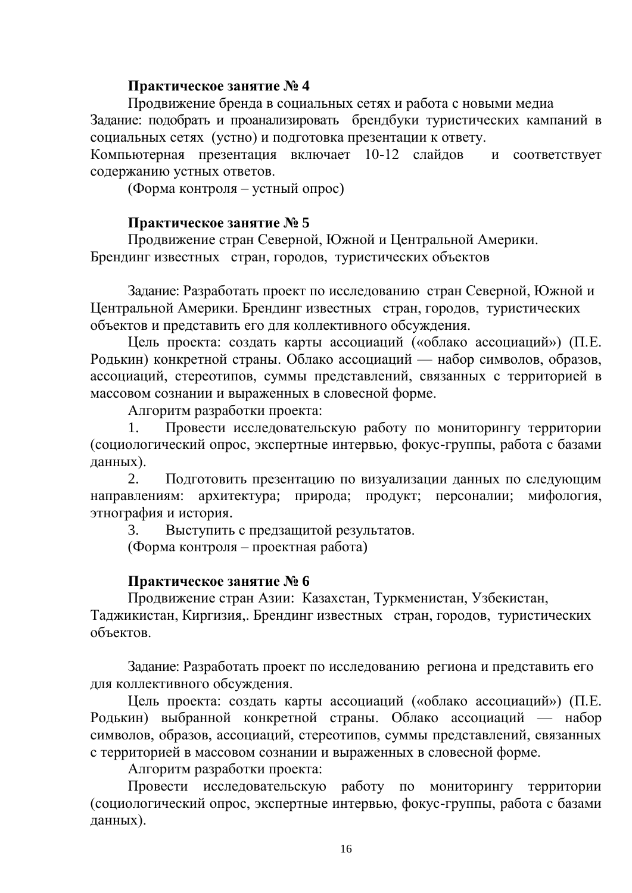#### **Практическое занятие № 4**

Продвижение бренда в социальных сетях и работа с новыми медиа Задание: подобрать и проанализировать брендбуки туристических кампаний в социальных сетях (устно) и подготовка презентации к ответу.

Компьютерная презентация включает 10-12 слайдов и соответствует содержанию устных ответов.

(Форма контроля – устный опрос)

#### **Практическое занятие № 5**

Продвижение стран Северной, Южной и Центральной Америки. Брендинг известных стран, городов, туристических объектов

Задание: Разработать проект по исследованию стран Северной, Южной и Центральной Америки. Брендинг известных стран, городов, туристических объектов и представить его для коллективного обсуждения.

Цель проекта: создать карты ассоциаций («облако ассоциаций») (П.Е. Родькин) конкретной страны. Облако ассоциаций — набор символов, образов, ассоциаций, стереотипов, суммы представлений, связанных с территорией в массовом сознании и выраженных в словесной форме.

Алгоритм разработки проекта:

1. Провести исследовательскую работу по мониторингу территории (социологический опрос, экспертные интервью, фокус-группы, работа с базами данных).

2. Подготовить презентацию по визуализации данных по следующим направлениям: архитектура; природа; продукт; персоналии; мифология, этнография и история.

3. Выступить с предзащитой результатов.

(Форма контроля – проектная работа)

#### **Практическое занятие № 6**

Продвижение стран Азии: Казахстан, Туркменистан, Узбекистан, Таджикистан, Киргизия,. Брендинг известных стран, городов, туристических объектов.

Задание: Разработать проект по исследованию региона и представить его для коллективного обсуждения.

Цель проекта: создать карты ассоциаций («облако ассоциаций») (П.Е. Родькин) выбранной конкретной страны. Облако ассоциаций — набор символов, образов, ассоциаций, стереотипов, суммы представлений, связанных с территорией в массовом сознании и выраженных в словесной форме.

Алгоритм разработки проекта:

Провести исследовательскую работу по мониторингу территории (социологический опрос, экспертные интервью, фокус-группы, работа с базами данных).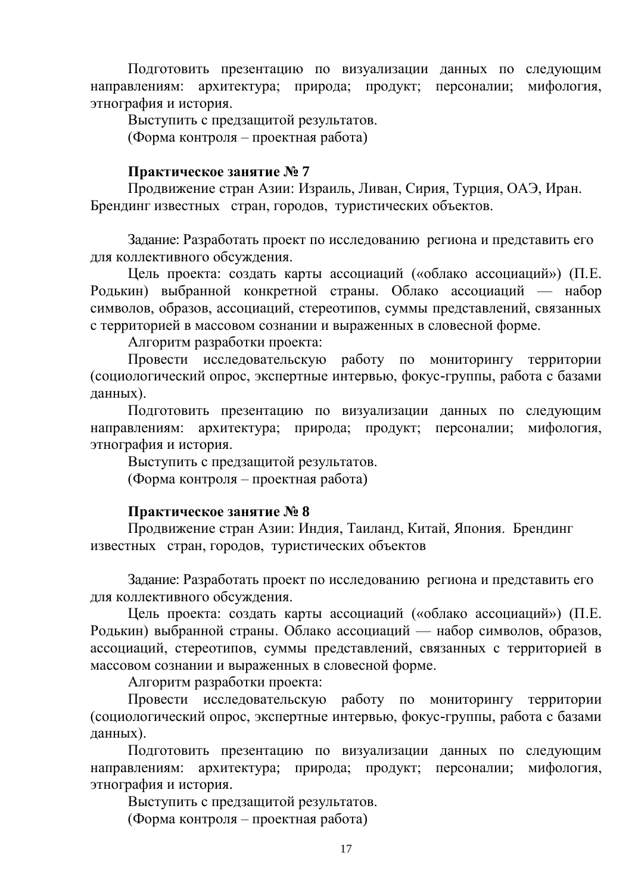Подготовить презентацию по визуализации данных по следующим направлениям: архитектура; природа; продукт; персоналии; мифология, этнография и история.

Выступить с предзащитой результатов.

(Форма контроля – проектная работа)

## **Практическое занятие № 7**

Продвижение стран Азии: Израиль, Ливан, Сирия, Турция, ОАЭ, Иран. Брендинг известных стран, городов, туристических объектов.

Задание: Разработать проект по исследованию региона и представить его для коллективного обсуждения.

Цель проекта: создать карты ассоциаций («облако ассоциаций») (П.Е. Родькин) выбранной конкретной страны. Облако ассоциаций — набор символов, образов, ассоциаций, стереотипов, суммы представлений, связанных с территорией в массовом сознании и выраженных в словесной форме.

Алгоритм разработки проекта:

Провести исследовательскую работу по мониторингу территории (социологический опрос, экспертные интервью, фокус-группы, работа с базами данных).

Подготовить презентацию по визуализации данных по следующим направлениям: архитектура; природа; продукт; персоналии; мифология, этнография и история.

Выступить с предзащитой результатов. (Форма контроля – проектная работа)

#### **Практическое занятие № 8**

Продвижение стран Азии: Индия, Таиланд, Китай, Япония. Брендинг известных стран, городов, туристических объектов

Задание: Разработать проект по исследованию региона и представить его для коллективного обсуждения.

Цель проекта: создать карты ассоциаций («облако ассоциаций») (П.Е. Родькин) выбранной страны. Облако ассоциаций — набор символов, образов, ассоциаций, стереотипов, суммы представлений, связанных с территорией в массовом сознании и выраженных в словесной форме.

Алгоритм разработки проекта:

Провести исследовательскую работу по мониторингу территории (социологический опрос, экспертные интервью, фокус-группы, работа с базами данных).

Подготовить презентацию по визуализации данных по следующим направлениям: архитектура; природа; продукт; персоналии; мифология, этнография и история.

Выступить с предзащитой результатов. (Форма контроля – проектная работа)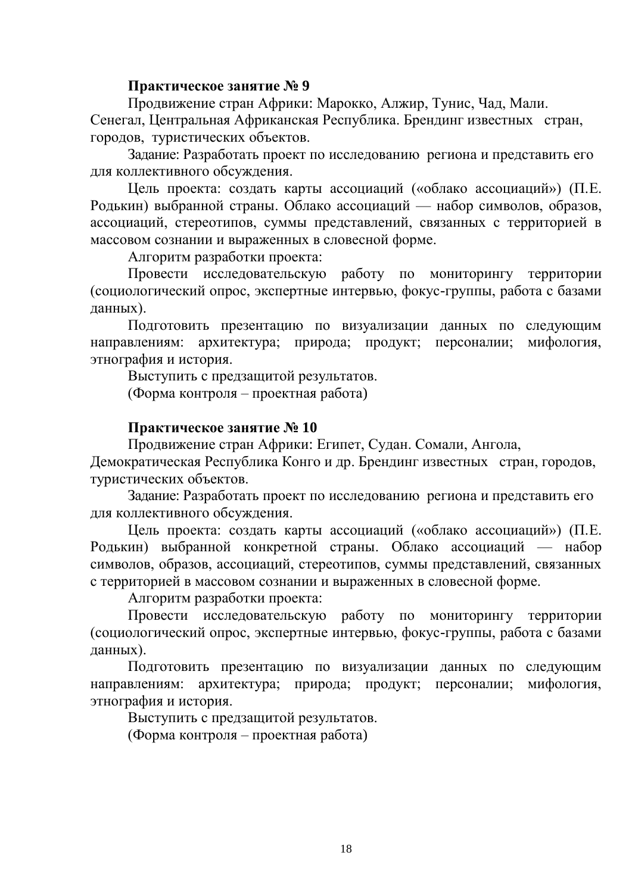#### **Практическое занятие № 9**

Продвижение стран Африки: Марокко, Алжир, Тунис, Чад, Мали. Сенегал, Центральная Африканская Республика. Брендинг известных стран, городов, туристических объектов.

Задание: Разработать проект по исследованию региона и представить его для коллективного обсуждения.

Цель проекта: создать карты ассоциаций («облако ассоциаций») (П.Е. Родькин) выбранной страны. Облако ассоциаций — набор символов, образов, ассоциаций, стереотипов, суммы представлений, связанных с территорией в массовом сознании и выраженных в словесной форме.

Алгоритм разработки проекта:

Провести исследовательскую работу по мониторингу территории (социологический опрос, экспертные интервью, фокус-группы, работа с базами данных).

Подготовить презентацию по визуализации данных по следующим направлениям: архитектура; природа; продукт; персоналии; мифология, этнография и история.

Выступить с предзащитой результатов.

(Форма контроля – проектная работа)

#### **Практическое занятие № 10**

Продвижение стран Африки: Египет, Судан. Сомали, Ангола,

Демократическая Республика Конго и др. Брендинг известных стран, городов, туристических объектов.

Задание: Разработать проект по исследованию региона и представить его для коллективного обсуждения.

Цель проекта: создать карты ассоциаций («облако ассоциаций») (П.Е. Родькин) выбранной конкретной страны. Облако ассоциаций — набор символов, образов, ассоциаций, стереотипов, суммы представлений, связанных с территорией в массовом сознании и выраженных в словесной форме.

Алгоритм разработки проекта:

Провести исследовательскую работу по мониторингу территории (социологический опрос, экспертные интервью, фокус-группы, работа с базами данных).

Подготовить презентацию по визуализации данных по следующим направлениям: архитектура; природа; продукт; персоналии; мифология, этнография и история.

Выступить с предзащитой результатов.

(Форма контроля – проектная работа)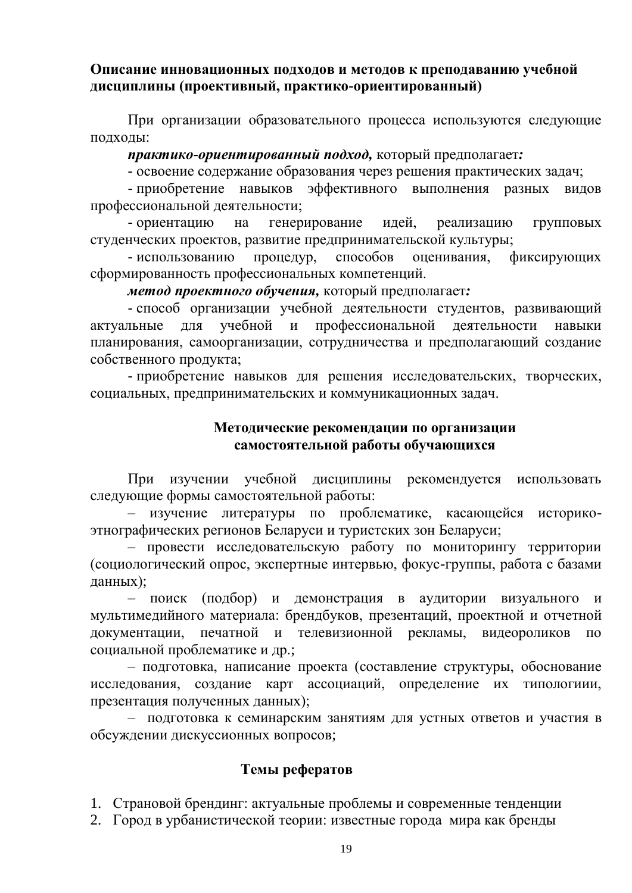#### **Описание инновационных подходов и методов к преподаванию учебной дисциплины (проективный, практико-ориентированный)**

При организации образовательного процесса используются следующие подходы:

*практико-ориентированный подход,* который предполагает*:*

- освоение содержание образования через решения практических задач;

- приобретение навыков эффективного выполнения разных видов профессиональной деятельности;

- ориентацию на генерирование идей, реализацию групповых студенческих проектов, развитие предпринимательской культуры;

- использованию процедур, способов оценивания, фиксирующих сформированность профессиональных компетенций.

*метод проектного обучения,* который предполагает*:*

- способ организации учебной деятельности студентов, развивающий актуальные для учебной и профессиональной деятельности навыки планирования, самоорганизации, сотрудничества и предполагающий создание собственного продукта;

- приобретение навыков для решения исследовательских, творческих, социальных, предпринимательских и коммуникационных задач.

#### **Методические рекомендации по организации самостоятельной работы обучающихся**

При изучении учебной дисциплины рекомендуется использовать следующие формы самостоятельной работы:

– изучение литературы по проблематике, касающейся историкоэтнографических регионов Беларуси и туристских зон Беларуси;

– провести исследовательскую работу по мониторингу территории (социологический опрос, экспертные интервью, фокус-группы, работа с базами данных);

– поиск (подбор) и демонстрация в аудитории визуального и мультимедийного материала: брендбуков, презентаций, проектной и отчетной документации, печатной и телевизионной рекламы, видеороликов по социальной проблематике и др.;

– подготовка, написание проекта (составление структуры, обоснование исследования, создание карт ассоциаций, определение их типологиии, презентация полученных данных);

– подготовка к семинарским занятиям для устных ответов и участия в обсуждении дискуссионных вопросов;

#### **Темы рефератов**

1. Страновой брендинг: актуальные проблемы и современные тенденции

2. Город в урбанистической теории: известные города мира как бренды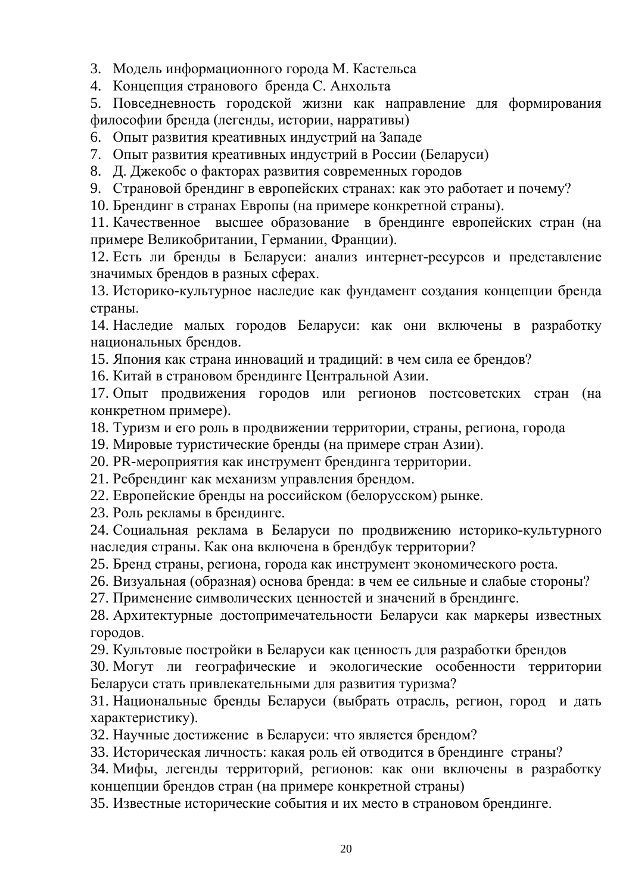3. Модель информационного города М. Кастельса

4. Концепция странового бренда С. Анхольта

5. Повседневность городской жизни как направление для формирования философии бренда (легенды, истории, нарративы)

6. Опыт развития креативных индустрий на Западе

7. Опыт развития креативных индустрий в России (Беларуси)

8. Д. Джекобс о факторах развития современных городов

9. Страновой брендинг в европейских странах: как это работает и почему?

10. Брендинг в странах Европы (на примере конкретной страны).

11. Качественное высшее образование в брендинге европейских стран (на примере Великобритании, Германии, Франции).

12. Есть ли бренды в Беларуси: анализ интернет-ресурсов и представление значимых брендов в разных сферах.

13. Историко-культурное наследие как фундамент создания концепции бренда страны.

14. Наследие малых городов Беларуси: как они включены в разработку национальных брендов.

15. Япония как страна инноваций и традиций: в чем сила ее брендов?

16. Китай в страновом брендинге Центральной Азии.

17. Опыт продвижения городов или регионов постсоветских стран (на конкретном примере).

18. Туризм и его роль в продвижении территории, страны, региона, города

19. Мировые туристические бренды (на примере стран Азии).

20. PR-мероприятия как инструмент брендинга территории.

21. Ребрендинг как механизм управления брендом.

22. Европейские бренды на российском (белорусском) рынке.

23. Роль рекламы в брендинге.

24. Социальная реклама в Беларуси по продвижению историко-культурного наследия страны. Как она включена в брендбук территории?

25. Бренд страны, региона, города как инструмент экономического роста.

26. Визуальная (образная) основа бренда: в чем ее сильные и слабые стороны?

27. Применение символических ценностей и значений в брендинге.

28. Архитектурные достопримечательности Беларуси как маркеры известных городов.

29. Культовые постройки в Беларуси как ценность для разработки брендов

30. Могут ли географические и экологические особенности территории Беларуси стать привлекательными для развития туризма?

31. Национальные бренды Беларуси (выбрать отрасль, регион, город и дать характеристику).

32. Научные достижение в Беларуси: что является брендом?

33. Историческая личность: какая роль ей отводится в брендинге страны?

34. Мифы, легенды территорий, регионов: как они включены в разработку концепции брендов стран (на примере конкретной страны)

35. Известные исторические события и их место в страновом брендинге.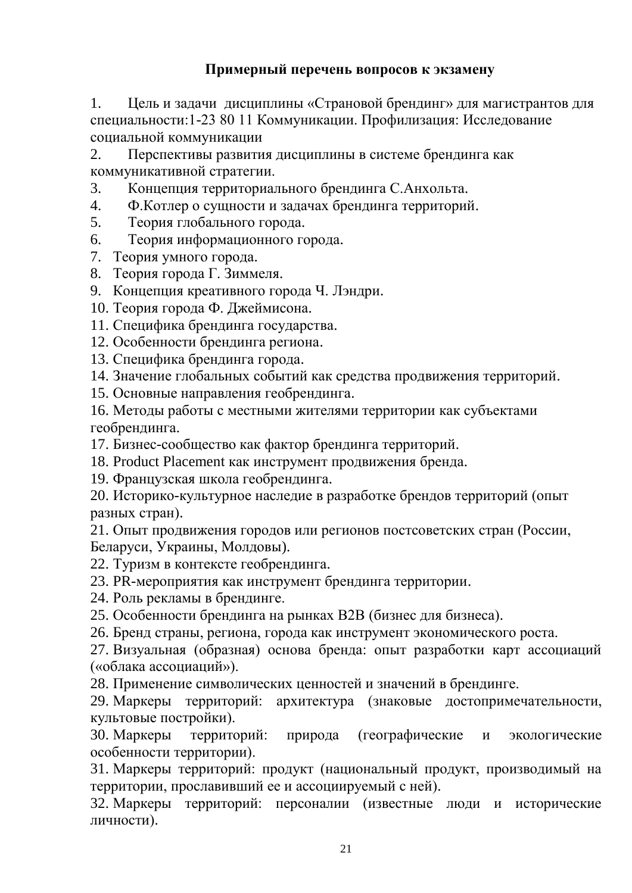# **Примерный перечень вопросов к экзамену**

1. Цель и задачи дисциплины «Страновой брендинг» для магистрантов для специальности:1-23 80 11 Коммуникации. Профилизация: Исследование социальной коммуникации

2. Перспективы развития дисциплины в системе брендинга как коммуникативной стратегии.

3. Концепция территориального брендинга С.Анхольта.

- 4. Ф.Котлер о сущности и задачах брендинга территорий.
- 5. Теория глобального города.
- 6. Теория информационного города.
- 7. Теория умного города.
- 8. Теория города Г. Зиммеля.
- 9. Концепция креативного города Ч. Лэндри.
- 10. Теория города Ф. Джеймисона.
- 11. Специфика брендинга государства.
- 12. Особенности брендинга региона.
- 13. Специфика брендинга города.
- 14. Значение глобальных событий как средства продвижения территорий.
- 15. Основные направления геобрендинга.
- 16. Методы работы с местными жителями территории как субъектами геобрендинга.
- 17. Бизнес-сообщество как фактор брендинга территорий.
- 18. Product Placement как инструмент продвижения бренда.
- 19. Французская школа геобрендинга.
- 20. Историко-культурное наследие в разработке брендов территорий (опыт разных стран).

21. Опыт продвижения городов или регионов постсоветских стран (России, Беларуси, Украины, Молдовы).

- 22. Туризм в контексте геобрендинга.
- 23. PR-мероприятия как инструмент брендинга территории.
- 24. Роль рекламы в брендинге.
- 25. Особенности брендинга на рынках B2B (бизнес для бизнеса).
- 26. Бренд страны, региона, города как инструмент экономического роста.

27. Визуальная (образная) основа бренда: опыт разработки карт ассоциаций («облака ассоциаций»).

- 28. Применение символических ценностей и значений в брендинге.
- 29. Маркеры территорий: архитектура (знаковые достопримечательности, культовые постройки).

30. Маркеры территорий: природа (географические и экологические особенности территории).

31. Маркеры территорий: продукт (национальный продукт, производимый на территории, прославивший ее и ассоциируемый с ней).

32. Маркеры территорий: персоналии (известные люди и исторические личности).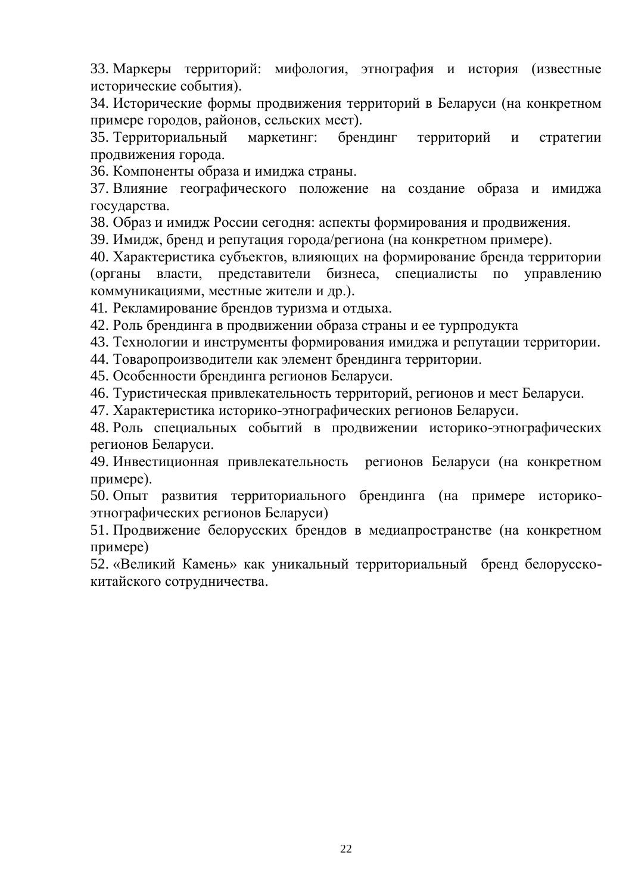33. Маркеры территорий: мифология, этнография и история (известные исторические события).

34. Исторические формы продвижения территорий в Беларуси (на конкретном примере городов, районов, сельских мест).

35. Территориальный маркетинг: брендинг территорий и стратегии продвижения города.

36. Компоненты образа и имиджа страны.

37. Влияние географического положение на создание образа и имиджа государства.

38. Образ и имидж России сегодня: аспекты формирования и продвижения.

39. Имидж, бренд и репутация города/региона (на конкретном примере).

40. Характеристика субъектов, влияющих на формирование бренда территории (органы власти, представители бизнеса, специалисты по управлению коммуникациями, местные жители и др.).

41. Рекламирование брендов туризма и отдыха.

42. Роль брендинга в продвижении образа страны и ее турпродукта

43. Технологии и инструменты формирования имиджа и репутации территории.

44. Товаропроизводители как элемент брендинга территории.

45. Особенности брендинга регионов Беларуси.

46. Туристическая привлекательность территорий, регионов и мест Беларуси.

47. Характеристика историко-этнографических регионов Беларуси.

48. Роль специальных событий в продвижении историко-этнографических регионов Беларуси.

49. Инвестиционная привлекательность регионов Беларуси (на конкретном примере).

50. Опыт развития территориального брендинга (на примере историкоэтнографических регионов Беларуси)

51. Продвижение белорусских брендов в медиапространстве (на конкретном примере)

52. «Великий Камень» как уникальный территориальный бренд белорусскокитайского сотрудничества.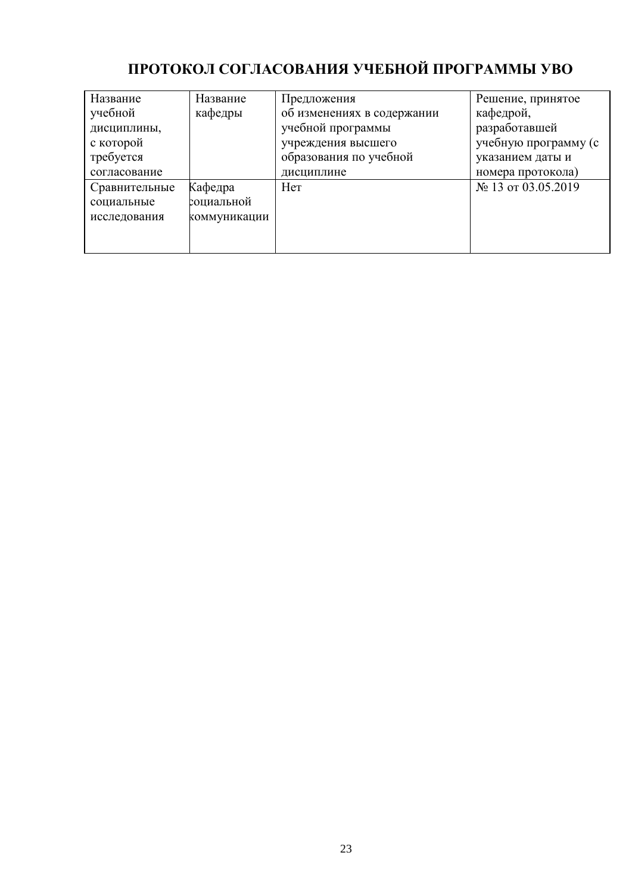# **ПРОТОКОЛ СОГЛАСОВАНИЯ УЧЕБНОЙ ПРОГРАММЫ УВО**

| Название      | Название     | Предложения                | Решение, принятое    |  |
|---------------|--------------|----------------------------|----------------------|--|
| учебной       | кафедры      | об изменениях в содержании | кафедрой,            |  |
| дисциплины,   |              | учебной программы          | разработавшей        |  |
| с которой     |              | учреждения высшего         | учебную программу (с |  |
| требуется     |              | образования по учебной     | указанием даты и     |  |
| согласование  |              | дисциплине                 | номера протокола)    |  |
| Сравнительные | Кафедра      | Her                        | № 13 от 03.05.2019   |  |
| социальные    | социальной   |                            |                      |  |
| исследования  | коммуникации |                            |                      |  |
|               |              |                            |                      |  |
|               |              |                            |                      |  |